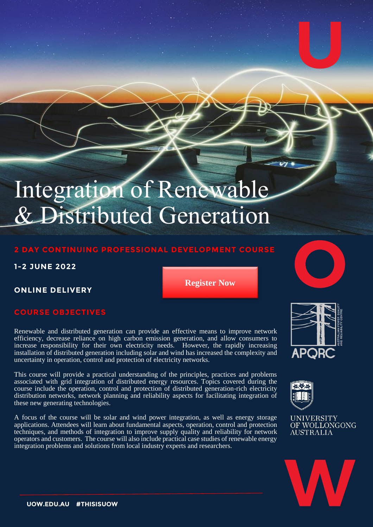# Integration of Renewable & Distributed Generation

# **2 DAY CONTINUING PROFESSIONAL DEVELOPMENT COURSE**

## **1-2 JUNE 2022**

# **ONLINE DELIVERY**

**[Register Now](https://uow.onestopsecure.com/onestopweb/APQRC/menu)**

# **COURSE OBJECTIVES**

Renewable and distributed generation can provide an effective means to improve network efficiency, decrease reliance on high carbon emission generation, and allow consumers to increase responsibility for their own electricity needs. However, the rapidly increasing installation of distributed generation including solar and wind has increased the complexity and uncertainty in operation, control and protection of electricity networks.

This course will provide a practical understanding of the principles, practices and problems associated with grid integration of distributed energy resources. Topics covered during the course include the operation, control and protection of distributed generation-rich electricity distribution networks, network planning and reliability aspects for facilitating integration of these new generating technologies.

A focus of the course will be solar and wind power integration, as well as energy storage applications. Attendees will learn about fundamental aspects, operation, control and protection techniques, and methods of integration to improve supply quality and reliability for network operators and customers. The course will also include practical case studies of renewable energy integration problems and solutions from local industry experts and researchers.





**UNIVERSITY** OF WOLLONGONG **AUSTRALIA** 

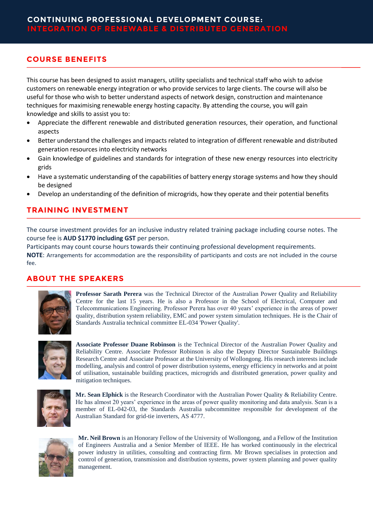#### **COURSE BENEFITS**

This course has been designed to assist managers, utility specialists and technical staff who wish to advise customers on renewable energy integration or who provide services to large clients. The course will also be useful for those who wish to better understand aspects of network design, construction and maintenance techniques for maximising renewable energy hosting capacity. By attending the course, you will gain knowledge and skills to assist you to:

- Appreciate the different renewable and distributed generation resources, their operation, and functional aspects
- Better understand the challenges and impacts related to integration of different renewable and distributed generation resources into electricity networks
- Gain knowledge of guidelines and standards for integration of these new energy resources into electricity grids
- Have a systematic understanding of the capabilities of battery energy storage systems and how they should be designed
- Develop an understanding of the definition of microgrids, how they operate and their potential benefits

#### **TRAINING INVESTMENT**

The course investment provides for an inclusive industry related training package including course notes. The course fee is **AUD \$1770 including GST** per person.

Participants may count course hours towards their continuing professional development requirements. **NOTE**: Arrangements for accommodation are the responsibility of participants and costs are not included in the course fee.

### **ABOUT THE SPEAKERS**



**Professor Sarath Perera** was the Technical Director of the Australian Power Quality and Reliability Centre for the last 15 years. He is also a Professor in the School of Electrical, Computer and Telecommunications Engineering. Professor Perera has over 40 years' experience in the areas of power quality, distribution system reliability, EMC and power system simulation techniques. He is the Chair of Standards Australia technical committee EL-034 'Power Quality'.



**Associate Professor Duane Robinson** is the Technical Director of the Australian Power Quality and Reliability Centre. Associate Professor Robinson is also the Deputy Director Sustainable Buildings Research Centre and Associate Professor at the University of Wollongong. His research interests include modelling, analysis and control of power distribution systems, energy efficiency in networks and at point of utilisation, sustainable building practices, microgrids and distributed generation, power quality and mitigation techniques.



**Mr. Sean Elphick** is the Research Coordinator with the Australian Power Quality & Reliability Centre. He has almost 20 years' experience in the areas of power quality monitoring and data analysis. Sean is a member of EL-042-03, the Standards Australia subcommittee responsible for development of the Australian Standard for grid-tie inverters, AS 4777.



**Mr. Neil Brown** is an Honorary Fellow of the University of Wollongong, and a Fellow of the Institution of Engineers Australia and a Senior Member of IEEE. He has worked continuously in the electrical power industry in utilities, consulting and contracting firm. Mr Brown specialises in protection and control of generation, transmission and distribution systems, power system planning and power quality management.